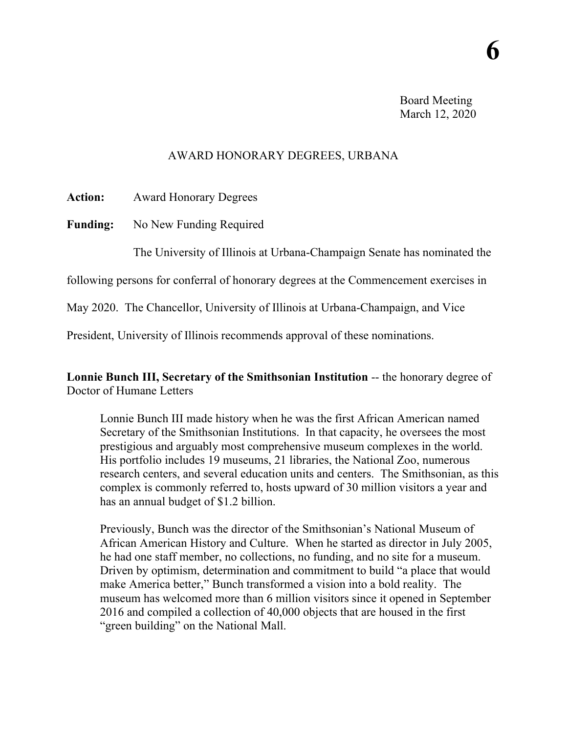Board Meeting March 12, 2020

## AWARD HONORARY DEGREES, URBANA

**Action:** Award Honorary Degrees

**Funding:** No New Funding Required

The University of Illinois at Urbana-Champaign Senate has nominated the

following persons for conferral of honorary degrees at the Commencement exercises in

May 2020. The Chancellor, University of Illinois at Urbana-Champaign, and Vice

President, University of Illinois recommends approval of these nominations.

**Lonnie Bunch III, Secretary of the Smithsonian Institution** -- the honorary degree of Doctor of Humane Letters

Lonnie Bunch III made history when he was the first African American named Secretary of the Smithsonian Institutions. In that capacity, he oversees the most prestigious and arguably most comprehensive museum complexes in the world. His portfolio includes 19 museums, 21 libraries, the National Zoo, numerous research centers, and several education units and centers. The Smithsonian, as this complex is commonly referred to, hosts upward of 30 million visitors a year and has an annual budget of \$1.2 billion.

Previously, Bunch was the director of the Smithsonian's National Museum of African American History and Culture. When he started as director in July 2005, he had one staff member, no collections, no funding, and no site for a museum. Driven by optimism, determination and commitment to build "a place that would make America better," Bunch transformed a vision into a bold reality. The museum has welcomed more than 6 million visitors since it opened in September 2016 and compiled a collection of 40,000 objects that are housed in the first "green building" on the National Mall.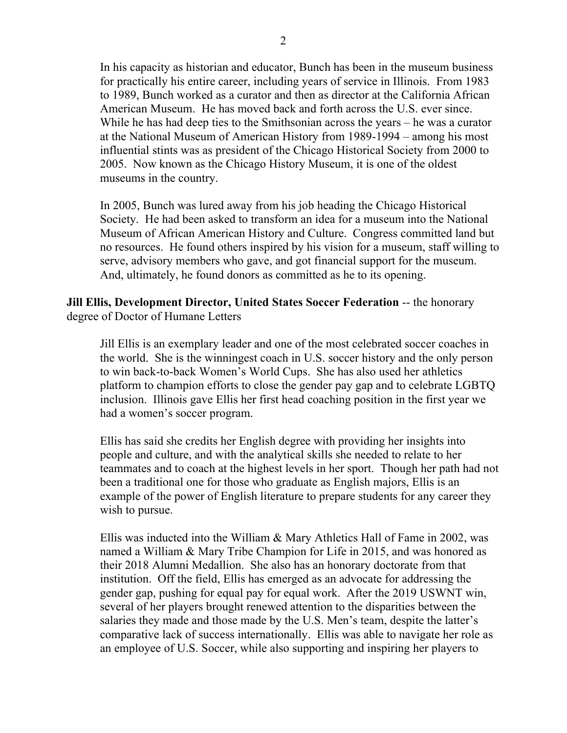In his capacity as historian and educator, Bunch has been in the museum business for practically his entire career, including years of service in Illinois. From 1983 to 1989, Bunch worked as a curator and then as director at the California African American Museum. He has moved back and forth across the U.S. ever since. While he has had deep ties to the Smithsonian across the years – he was a curator at the National Museum of American History from 1989-1994 – among his most influential stints was as president of the Chicago Historical Society from 2000 to 2005. Now known as the Chicago History Museum, it is one of the oldest museums in the country.

In 2005, Bunch was lured away from his job heading the Chicago Historical Society. He had been asked to transform an idea for a museum into the National Museum of African American History and Culture. Congress committed land but no resources. He found others inspired by his vision for a museum, staff willing to serve, advisory members who gave, and got financial support for the museum. And, ultimately, he found donors as committed as he to its opening.

**Jill Ellis, Development Director, United States Soccer Federation** -- the honorary degree of Doctor of Humane Letters

Jill Ellis is an exemplary leader and one of the most celebrated soccer coaches in the world. She is the winningest coach in U.S. soccer history and the only person to win back-to-back Women's World Cups. She has also used her athletics platform to champion efforts to close the gender pay gap and to celebrate LGBTQ inclusion. Illinois gave Ellis her first head coaching position in the first year we had a women's soccer program.

Ellis has said she credits her English degree with providing her insights into people and culture, and with the analytical skills she needed to relate to her teammates and to coach at the highest levels in her sport. Though her path had not been a traditional one for those who graduate as English majors, Ellis is an example of the power of English literature to prepare students for any career they wish to pursue.

Ellis was inducted into the William & Mary Athletics Hall of Fame in 2002, was named a William & Mary Tribe Champion for Life in 2015, and was honored as their 2018 Alumni Medallion. She also has an honorary doctorate from that institution. Off the field, Ellis has emerged as an advocate for addressing the gender gap, pushing for equal pay for equal work. After the 2019 USWNT win, several of her players brought renewed attention to the disparities between the salaries they made and those made by the U.S. Men's team, despite the latter's comparative lack of success internationally. Ellis was able to navigate her role as an employee of U.S. Soccer, while also supporting and inspiring her players to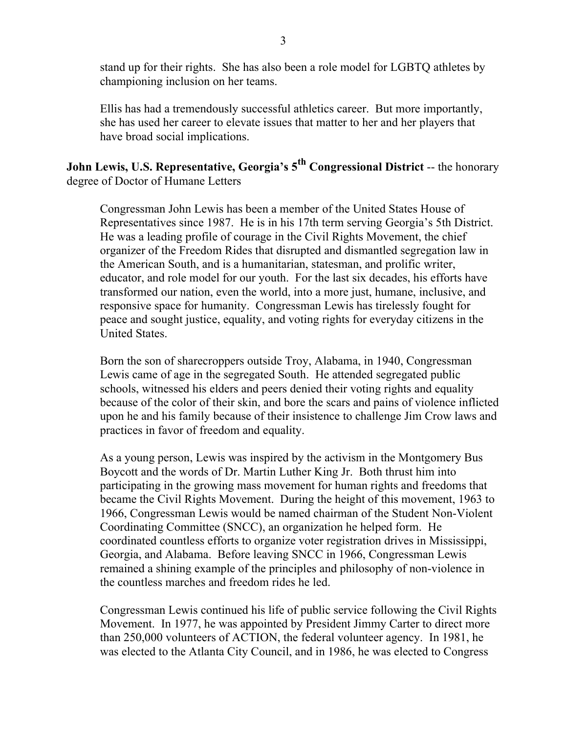stand up for their rights. She has also been a role model for LGBTQ athletes by championing inclusion on her teams.

Ellis has had a tremendously successful athletics career. But more importantly, she has used her career to elevate issues that matter to her and her players that have broad social implications.

**John Lewis, U.S. Representative, Georgia's 5th Congressional District** -- the honorary degree of Doctor of Humane Letters

Congressman John Lewis has been a member of the United States House of Representatives since 1987. He is in his 17th term serving Georgia's 5th District. He was a leading profile of courage in the Civil Rights Movement, the chief organizer of the Freedom Rides that disrupted and dismantled segregation law in the American South, and is a humanitarian, statesman, and prolific writer, educator, and role model for our youth. For the last six decades, his efforts have transformed our nation, even the world, into a more just, humane, inclusive, and responsive space for humanity. Congressman Lewis has tirelessly fought for peace and sought justice, equality, and voting rights for everyday citizens in the United States.

Born the son of sharecroppers outside Troy, Alabama, in 1940, Congressman Lewis came of age in the segregated South. He attended segregated public schools, witnessed his elders and peers denied their voting rights and equality because of the color of their skin, and bore the scars and pains of violence inflicted upon he and his family because of their insistence to challenge Jim Crow laws and practices in favor of freedom and equality.

As a young person, Lewis was inspired by the activism in the Montgomery Bus Boycott and the words of Dr. Martin Luther King Jr. Both thrust him into participating in the growing mass movement for human rights and freedoms that became the Civil Rights Movement. During the height of this movement, 1963 to 1966, Congressman Lewis would be named chairman of the Student Non-Violent Coordinating Committee (SNCC), an organization he helped form. He coordinated countless efforts to organize voter registration drives in Mississippi, Georgia, and Alabama. Before leaving SNCC in 1966, Congressman Lewis remained a shining example of the principles and philosophy of non-violence in the countless marches and freedom rides he led.

Congressman Lewis continued his life of public service following the Civil Rights Movement. In 1977, he was appointed by President Jimmy Carter to direct more than 250,000 volunteers of ACTION, the federal volunteer agency. In 1981, he was elected to the Atlanta City Council, and in 1986, he was elected to Congress